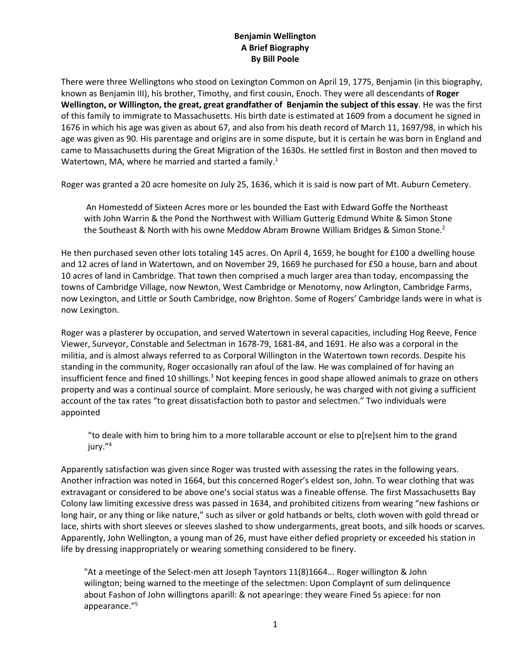## **Benjamin Wellington A Brief Biography By Bill Poole**

There were three Wellingtons who stood on Lexington Common on April 19, 1775, Benjamin (in this biography, known as Benjamin III), his brother, Timothy, and first cousin, Enoch. They were all descendants of **Roger Wellington, or Willington, the great, great grandfather of Benjamin the subject of this essay**. He was the first of this family to immigrate to Massachusetts. His birth date is estimated at 1609 from a document he signed in 1676 in which his age was given as about 67, and also from his death record of March 11, 1697/98, in which his age was given as 90. His parentage and origins are in some dispute, but it is certain he was born in England and came to Massachusetts during the Great Migration of the 1630s. He settled first in Boston and then moved to Watertown, MA, where he married and started a family.<sup>1</sup>

Roger was granted a 20 acre homesite on July 25, 1636, which it is said is now part of Mt. Auburn Cemetery.

An Homestedd of Sixteen Acres more or les bounded the East with Edward Goffe the Northeast with John Warrin & the Pond the Northwest with William Gutterig Edmund White & Simon Stone the Southeast & North with his owne Meddow Abram Browne William Bridges & Simon Stone.<sup>2</sup>

He then purchased seven other lots totaling 145 acres. On April 4, 1659, he bought for £100 a dwelling house and 12 acres of land in Watertown, and on November 29, 1669 he purchased for £50 a house, barn and about 10 acres of land in Cambridge. That town then comprised a much larger area than today, encompassing the towns of Cambridge Village, now Newton, West Cambridge or Menotomy, now Arlington, Cambridge Farms, now Lexington, and Little or South Cambridge, now Brighton. Some of Rogers' Cambridge lands were in what is now Lexington.

Roger was a plasterer by occupation, and served Watertown in several capacities, including Hog Reeve, Fence Viewer, Surveyor, Constable and Selectman in 1678-79, 1681-84, and 1691. He also was a corporal in the militia, and is almost always referred to as Corporal Willington in the Watertown town records. Despite his standing in the community, Roger occasionally ran afoul of the law. He was complained of for having an insufficient fence and fined 10 shillings.<sup>3</sup> Not keeping fences in good shape allowed animals to graze on others property and was a continual source of complaint. More seriously, he was charged with not giving a sufficient account of the tax rates "to great dissatisfaction both to pastor and selectmen." Two individuals were appointed

"to deale with him to bring him to a more tollarable account or else to p[re]sent him to the grand jury."<sup>4</sup>

Apparently satisfaction was given since Roger was trusted with assessing the rates in the following years. Another infraction was noted in 1664, but this concerned Roger's eldest son, John. To wear clothing that was extravagant or considered to be above one's social status was a fineable offense. The first Massachusetts Bay Colony law limiting excessive dress was passed in 1634, and prohibited citizens from wearing "new fashions or long hair, or any thing or like nature," such as silver or gold hatbands or belts, cloth woven with gold thread or lace, shirts with short sleeves or sleeves slashed to show undergarments, great boots, and silk hoods or scarves. Apparently, John Wellington, a young man of 26, must have either defied propriety or exceeded his station in life by dressing inappropriately or wearing something considered to be finery.

"At a meetinge of the Select-men att Joseph Tayntors 11(8)1664... Roger willington & John wilington; being warned to the meetinge of the selectmen: Upon Complaynt of sum delinquence about Fashon of John willingtons aparill: & not apearinge: they weare Fined 5s apiece: for non appearance."5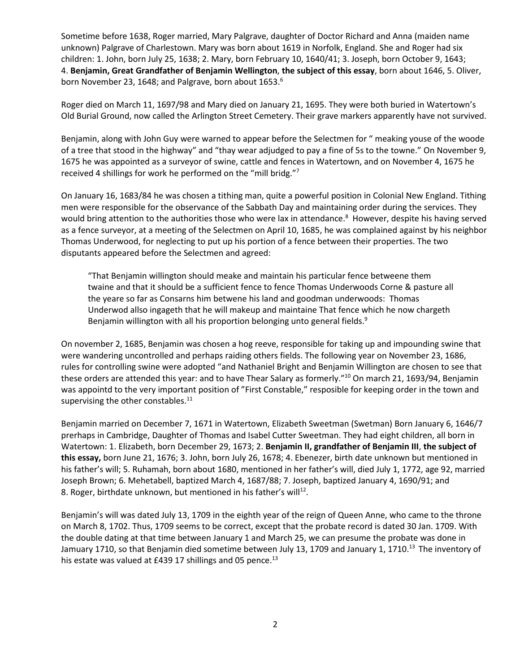Sometime before 1638, Roger married, Mary Palgrave, daughter of Doctor Richard and Anna (maiden name unknown) Palgrave of Charlestown. Mary was born about 1619 in Norfolk, England. She and Roger had six children: 1. John, born July 25, 1638; 2. Mary, born February 10, 1640/41; 3. Joseph, born October 9, 1643; 4. **Benjamin, Great Grandfather of Benjamin Wellington**, **the subject of this essay**, born about 1646, 5. Oliver, born November 23, 1648; and Palgrave, born about 1653.<sup>6</sup>

Roger died on March 11, 1697/98 and Mary died on January 21, 1695. They were both buried in Watertown's Old Burial Ground, now called the Arlington Street Cemetery. Their grave markers apparently have not survived.

Benjamin, along with John Guy were warned to appear before the Selectmen for " meaking youse of the woode of a tree that stood in the highway" and "thay wear adjudged to pay a fine of 5s to the towne." On November 9, 1675 he was appointed as a surveyor of swine, cattle and fences in Watertown, and on November 4, 1675 he received 4 shillings for work he performed on the "mill bridg."<sup>7</sup>

On January 16, 1683/84 he was chosen a tithing man, quite a powerful position in Colonial New England. Tithing men were responsible for the observance of the Sabbath Day and maintaining order during the services. They would bring attention to the authorities those who were lax in attendance.<sup>8</sup> However, despite his having served as a fence surveyor, at a meeting of the Selectmen on April 10, 1685, he was complained against by his neighbor Thomas Underwood, for neglecting to put up his portion of a fence between their properties. The two disputants appeared before the Selectmen and agreed:

"That Benjamin willington should meake and maintain his particular fence betweene them twaine and that it should be a sufficient fence to fence Thomas Underwoods Corne & pasture all the yeare so far as Consarns him betwene his land and goodman underwoods: Thomas Underwod allso ingageth that he will makeup and maintaine That fence which he now chargeth Benjamin willington with all his proportion belonging unto general fields.<sup>9</sup>

On november 2, 1685, Benjamin was chosen a hog reeve, responsible for taking up and impounding swine that were wandering uncontrolled and perhaps raiding others fields. The following year on November 23, 1686, rules for controlling swine were adopted "and Nathaniel Bright and Benjamin Willington are chosen to see that these orders are attended this year: and to have Thear Salary as formerly."<sup>10</sup> On march 21, 1693/94, Benjamin was appointd to the very important position of "First Constable," resposible for keeping order in the town and supervising the other constables.<sup>11</sup>

Benjamin married on December 7, 1671 in Watertown, Elizabeth Sweetman (Swetman) Born January 6, 1646/7 prerhaps in Cambridge, Daughter of Thomas and Isabel Cutter Sweetman. They had eight children, all born in Watertown: 1. Elizabeth, born December 29, 1673; 2. **Benjamin II, grandfather of Benjamin III**, **the subject of this essay,** born June 21, 1676; 3. John, born July 26, 1678; 4. Ebenezer, birth date unknown but mentioned in his father's will; 5. Ruhamah, born about 1680, mentioned in her father's will, died July 1, 1772, age 92, married Joseph Brown; 6. Mehetabell, baptized March 4, 1687/88; 7. Joseph, baptized January 4, 1690/91; and 8. Roger, birthdate unknown, but mentioned in his father's will<sup>12</sup>.

Benjamin's will was dated July 13, 1709 in the eighth year of the reign of Queen Anne, who came to the throne on March 8, 1702. Thus, 1709 seems to be correct, except that the probate record is dated 30 Jan. 1709. With the double dating at that time between January 1 and March 25, we can presume the probate was done in Jamuary 1710, so that Benjamin died sometime between July 13, 1709 and January 1, 1710.<sup>13</sup> The inventory of his estate was valued at £439 17 shillings and 05 pence.<sup>13</sup>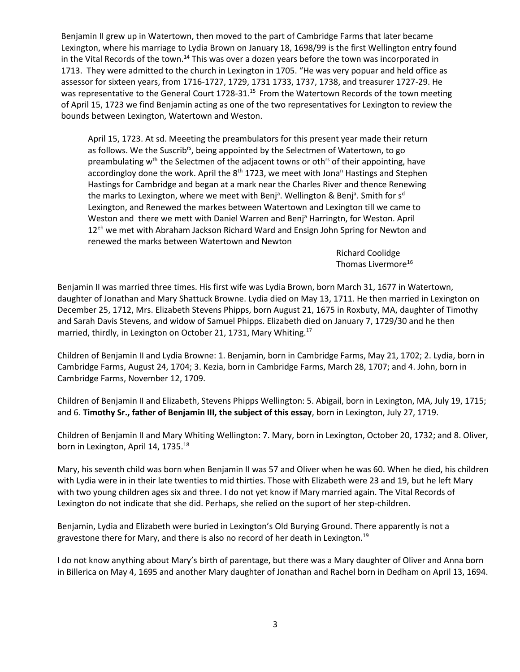Benjamin II grew up in Watertown, then moved to the part of Cambridge Farms that later became Lexington, where his marriage to Lydia Brown on January 18, 1698/99 is the first Wellington entry found in the Vital Records of the town.<sup>14</sup> This was over a dozen years before the town was incorporated in 1713. They were admitted to the church in Lexington in 1705. "He was very popuar and held office as assessor for sixteen years, from 1716-1727, 1729, 1731 1733, 1737, 1738, and treasurer 1727-29. He was representative to the General Court 1728-31.<sup>15</sup> From the Watertown Records of the town meeting of April 15, 1723 we find Benjamin acting as one of the two representatives for Lexington to review the bounds between Lexington, Watertown and Weston.

April 15, 1723. At sd. Meeeting the preambulators for this present year made their return as follows. We the Suscrib<sup>rs</sup>, being appointed by the Selectmen of Watertown, to go preambulating w<sup>th</sup> the Selectmen of the adjacent towns or oth<sup>rs</sup> of their appointing, have accordingloy done the work. April the  $8<sup>th</sup>$  1723, we meet with Jona<sup>n</sup> Hastings and Stephen Hastings for Cambridge and began at a mark near the Charles River and thence Renewing the marks to Lexington, where we meet with Benj<sup>a</sup>. Wellington & Benj<sup>a</sup>. Smith for s<sup>d</sup> Lexington, and Renewed the markes between Watertown and Lexington till we came to Weston and there we mett with Daniel Warren and Benj<sup>a</sup> Harringtn, for Weston. April 12<sup>eh</sup> we met with Abraham Jackson Richard Ward and Ensign John Spring for Newton and renewed the marks between Watertown and Newton

> Richard Coolidge Thomas Livermore<sup>16</sup>

Benjamin II was married three times. His first wife was Lydia Brown, born March 31, 1677 in Watertown, daughter of Jonathan and Mary Shattuck Browne. Lydia died on May 13, 1711. He then married in Lexington on December 25, 1712, Mrs. Elizabeth Stevens Phipps, born August 21, 1675 in Roxbuty, MA, daughter of Timothy and Sarah Davis Stevens, and widow of Samuel Phipps. Elizabeth died on January 7, 1729/30 and he then married, thirdly, in Lexington on October 21, 1731, Mary Whiting. 17

Children of Benjamin II and Lydia Browne: 1. Benjamin, born in Cambridge Farms, May 21, 1702; 2. Lydia, born in Cambridge Farms, August 24, 1704; 3. Kezia, born in Cambridge Farms, March 28, 1707; and 4. John, born in Cambridge Farms, November 12, 1709.

Children of Benjamin II and Elizabeth, Stevens Phipps Wellington: 5. Abigail, born in Lexington, MA, July 19, 1715; and 6. **Timothy Sr., father of Benjamin III, the subject of this essay**, born in Lexington, July 27, 1719.

Children of Benjamin II and Mary Whiting Wellington: 7. Mary, born in Lexington, October 20, 1732; and 8. Oliver, born in Lexington, April 14, 1735.<sup>18</sup>

Mary, his seventh child was born when Benjamin II was 57 and Oliver when he was 60. When he died, his children with Lydia were in in their late twenties to mid thirties. Those with Elizabeth were 23 and 19, but he left Mary with two young children ages six and three. I do not yet know if Mary married again. The Vital Records of Lexington do not indicate that she did. Perhaps, she relied on the suport of her step-children.

Benjamin, Lydia and Elizabeth were buried in Lexington's Old Burying Ground. There apparently is not a gravestone there for Mary, and there is also no record of her death in Lexington.<sup>19</sup>

I do not know anything about Mary's birth of parentage, but there was a Mary daughter of Oliver and Anna born in Billerica on May 4, 1695 and another Mary daughter of Jonathan and Rachel born in Dedham on April 13, 1694.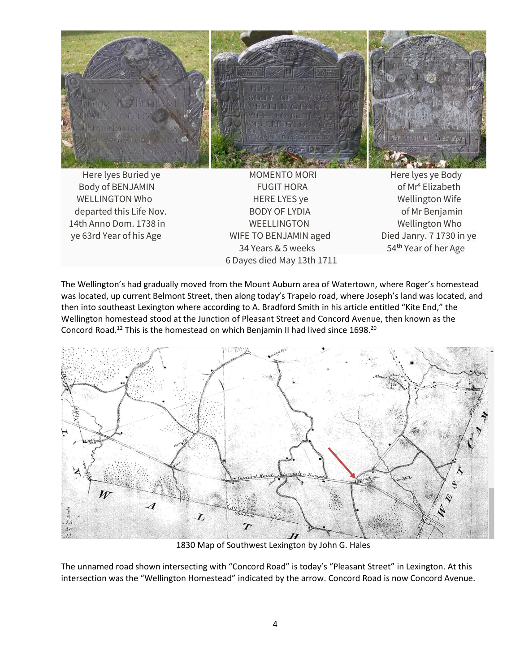

Body of BENJAMIN FUGIT HORA **by COLLEGAN CONTAINS ELIZABETH** WELLINGTON Who **HERE LYES** ye **Wellington Wife** departed this Life Nov. **BODY OF LYDIA** and the Senjamin of Mr Benjamin 14th Anno Dom. 1738 in WEELLINGTON WEELLINGTON ye 63rd Year of his Age WIFE TO BENJAMIN aged Died Janry. 7 1730 in ye 34 Years & 5 weeks 54**th** Year of her Age 6 Dayes died May 13th 1711

The Wellington's had gradually moved from the Mount Auburn area of Watertown, where Roger's homestead was located, up current Belmont Street, then along today's Trapelo road, where Joseph's land was located, and then into southeast Lexington where according to A. Bradford Smith in his article entitled "Kite End," the Wellington homestead stood at the Junction of Pleasant Street and Concord Avenue, then known as the Concord Road.<sup>12</sup> This is the homestead on which Benjamin II had lived since 1698.<sup>20</sup>



1830 Map of Southwest Lexington by John G. Hales

The unnamed road shown intersecting with "Concord Road" is today's "Pleasant Street" in Lexington. At this intersection was the "Wellington Homestead" indicated by the arrow. Concord Road is now Concord Avenue.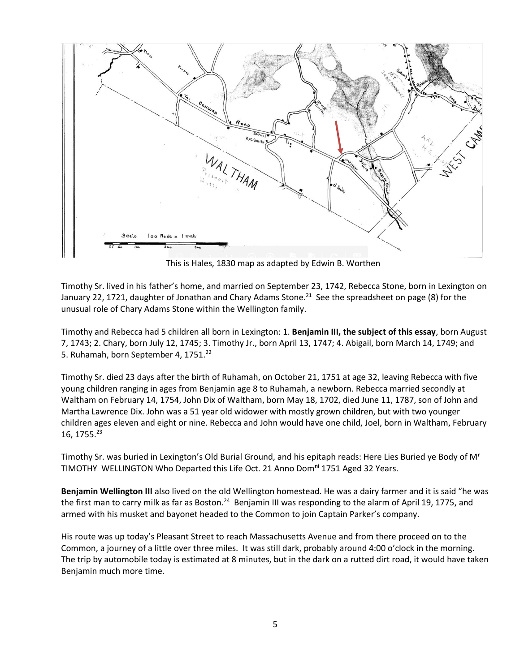

This is Hales, 1830 map as adapted by Edwin B. Worthen

Timothy Sr. lived in his father's home, and married on September 23, 1742, Rebecca Stone, born in Lexington on January 22, 1721, daughter of Jonathan and Chary Adams Stone.<sup>21</sup> See the spreadsheet on page (8) for the unusual role of Chary Adams Stone within the Wellington family.

Timothy and Rebecca had 5 children all born in Lexington: 1. **Benjamin III, the subject of this essay**, born August 7, 1743; 2. Chary, born July 12, 1745; 3. Timothy Jr., born April 13, 1747; 4. Abigail, born March 14, 1749; and 5. Ruhamah, born September 4, 1751.<sup>22</sup>

Timothy Sr. died 23 days after the birth of Ruhamah, on October 21, 1751 at age 32, leaving Rebecca with five young children ranging in ages from Benjamin age 8 to Ruhamah, a newborn. Rebecca married secondly at Waltham on February 14, 1754, John Dix of Waltham, born May 18, 1702, died June 11, 1787, son of John and Martha Lawrence Dix. John was a 51 year old widower with mostly grown children, but with two younger children ages eleven and eight or nine. Rebecca and John would have one child, Joel, born in Waltham, February 16, 1755. 23

Timothy Sr. was buried in Lexington's Old Burial Ground, and his epitaph reads: Here Lies Buried ye Body of M**<sup>r</sup>** TIMOTHY WELLINGTON Who Departed this Life Oct. 21 Anno Dom**ni** 1751 Aged 32 Years.

**Benjamin Wellington III** also lived on the old Wellington homestead. He was a dairy farmer and it is said "he was the first man to carry milk as far as Boston.<sup>24</sup> Benjamin III was responding to the alarm of April 19, 1775, and armed with his musket and bayonet headed to the Common to join Captain Parker's company.

His route was up today's Pleasant Street to reach Massachusetts Avenue and from there proceed on to the Common, a journey of a little over three miles. It was still dark, probably around 4:00 o'clock in the morning. The trip by automobile today is estimated at 8 minutes, but in the dark on a rutted dirt road, it would have taken Benjamin much more time.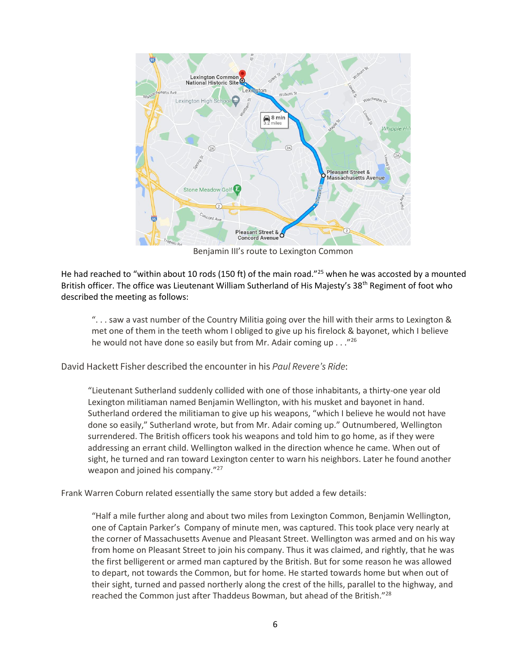

Benjamin III's route to Lexington Common

He had reached to "within about 10 rods (150 ft) of the main road."<sup>25</sup> when he was accosted by a mounted British officer. The office was Lieutenant William Sutherland of His Majesty's 38<sup>th</sup> Regiment of foot who described the meeting as follows:

". . . saw a vast number of the Country Militia going over the hill with their arms to Lexington & met one of them in the teeth whom I obliged to give up his firelock & bayonet, which I believe he would not have done so easily but from Mr. Adair coming up  $\ldots$ <sup>26</sup>

David Hackett Fisher described the encounter in his *Paul Revere's Ride*:

"Lieutenant Sutherland suddenly collided with one of those inhabitants, a thirty-one year old Lexington militiaman named Benjamin Wellington, with his musket and bayonet in hand. Sutherland ordered the militiaman to give up his weapons, "which I believe he would not have done so easily," Sutherland wrote, but from Mr. Adair coming up." Outnumbered, Wellington surrendered. The British officers took his weapons and told him to go home, as if they were addressing an errant child. Wellington walked in the direction whence he came. When out of sight, he turned and ran toward Lexington center to warn his neighbors. Later he found another weapon and joined his company."<sup>27</sup>

Frank Warren Coburn related essentially the same story but added a few details:

"Half a mile further along and about two miles from Lexington Common, Benjamin Wellington, one of Captain Parker's Company of minute men, was captured. This took place very nearly at the corner of Massachusetts Avenue and Pleasant Street. Wellington was armed and on his way from home on Pleasant Street to join his company. Thus it was claimed, and rightly, that he was the first belligerent or armed man captured by the British. But for some reason he was allowed to depart, not towards the Common, but for home. He started towards home but when out of their sight, turned and passed northerly along the crest of the hills, parallel to the highway, and reached the Common just after Thaddeus Bowman, but ahead of the British."<sup>28</sup>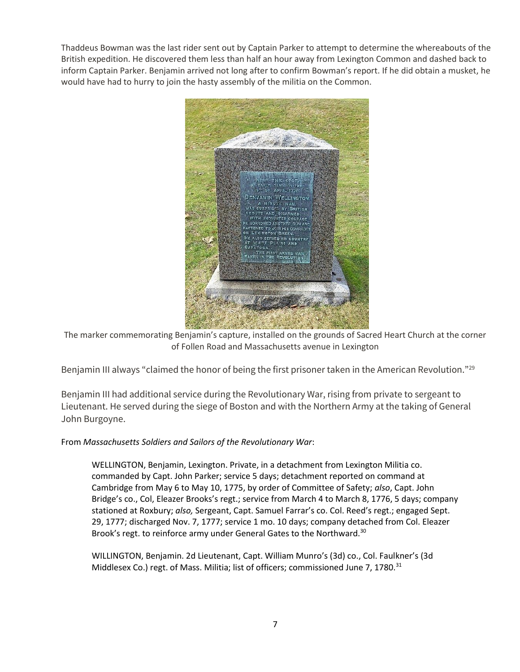Thaddeus Bowman was the last rider sent out by Captain Parker to attempt to determine the whereabouts of the British expedition. He discovered them less than half an hour away from Lexington Common and dashed back to inform Captain Parker. Benjamin arrived not long after to confirm Bowman's report. If he did obtain a musket, he would have had to hurry to join the hasty assembly of the militia on the Common.



The marker commemorating Benjamin's capture, installed on the grounds of Sacred Heart Church at the corner of Follen Road and Massachusetts avenue in Lexington

Benjamin III always "claimed the honor of being the first prisoner taken in the American Revolution."<sup>29</sup>

Benjamin III had additional service during the Revolutionary War, rising from private to sergeant to Lieutenant. He served during the siege of Boston and with the Northern Army at the taking of General John Burgoyne.

## From *Massachusetts Soldiers and Sailors of the Revolutionary War*:

WELLINGTON, Benjamin, Lexington. Private, in a detachment from Lexington Militia co. commanded by Capt. John Parker; service 5 days; detachment reported on command at Cambridge from May 6 to May 10, 1775, by order of Committee of Safety; *also*, Capt. John Bridge's co., Col, Eleazer Brooks's regt.; service from March 4 to March 8, 1776, 5 days; company stationed at Roxbury; *also,* Sergeant, Capt. Samuel Farrar's co. Col. Reed's regt.; engaged Sept. 29, 1777; discharged Nov. 7, 1777; service 1 mo. 10 days; company detached from Col. Eleazer Brook's regt. to reinforce army under General Gates to the Northward.<sup>30</sup>

WILLINGTON, Benjamin. 2d Lieutenant, Capt. William Munro's (3d) co., Col. Faulkner's (3d Middlesex Co.) regt. of Mass. Militia; list of officers; commissioned June 7, 1780. $31$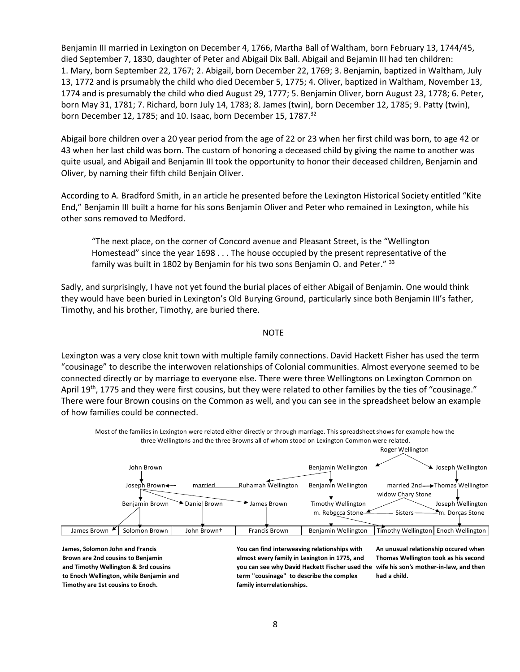Benjamin III married in Lexington on December 4, 1766, Martha Ball of Waltham, born February 13, 1744/45, died September 7, 1830, daughter of Peter and Abigail Dix Ball. Abigail and Bejamin III had ten children: 1. Mary, born September 22, 1767; 2. Abigail, born December 22, 1769; 3. Benjamin, baptized in Waltham, July 13, 1772 and is prsumably the child who died December 5, 1775; 4. Oliver, baptized in Waltham, November 13, 1774 and is presumably the child who died August 29, 1777; 5. Benjamin Oliver, born August 23, 1778; 6. Peter, born May 31, 1781; 7. Richard, born July 14, 1783; 8. James (twin), born December 12, 1785; 9. Patty (twin), born December 12, 1785; and 10. Isaac, born December 15, 1787.<sup>32</sup>

Abigail bore children over a 20 year period from the age of 22 or 23 when her first child was born, to age 42 or 43 when her last child was born. The custom of honoring a deceased child by giving the name to another was quite usual, and Abigail and Benjamin III took the opportunity to honor their deceased children, Benjamin and Oliver, by naming their fifth child Benjain Oliver.

According to A. Bradford Smith, in an article he presented before the Lexington Historical Society entitled "Kite End," Benjamin III built a home for his sons Benjamin Oliver and Peter who remained in Lexington, while his other sons removed to Medford.

"The next place, on the corner of Concord avenue and Pleasant Street, is the "Wellington Homestead" since the year 1698 . . . The house occupied by the present representative of the family was built in 1802 by Benjamin for his two sons Benjamin O. and Peter." 33

Sadly, and surprisingly, I have not yet found the burial places of either Abigail of Benjamin. One would think they would have been buried in Lexington's Old Burying Ground, particularly since both Benjamin III's father, Timothy, and his brother, Timothy, are buried there.

## **NOTE**

Lexington was a very close knit town with multiple family connections. David Hackett Fisher has used the term "cousinage" to describe the interwoven relationships of Colonial communities. Almost everyone seemed to be connected directly or by marriage to everyone else. There were three Wellingtons on Lexington Common on April 19<sup>th</sup>, 1775 and they were first cousins, but they were related to other families by the ties of "cousinage." There were four Brown cousins on the Common as well, and you can see in the spreadsheet below an example of how families could be connected.



Most of the families in Lexington were related either directly or through marriage. This spreadsheet shows for example how the three Wellingtons and the three Browns all of whom stood on Lexington Common were related.

**to Enoch Wellington, while Benjamin and James, Solomon John and Francis Brown are 2nd cousins to Benjamin and Timothy Wellington & 3rd cousins Timothy are 1st cousins to Enoch.**

**You can find interweaving relationships with almost every family in Lexington in 1775, and you can see why David Hackett Fischer used the wife his son's mother-in-law, and then term "cousinage" to describe the complex family interrelationships.**

**An unusual relationship occured when Thomas Wellington took as his second had a child.**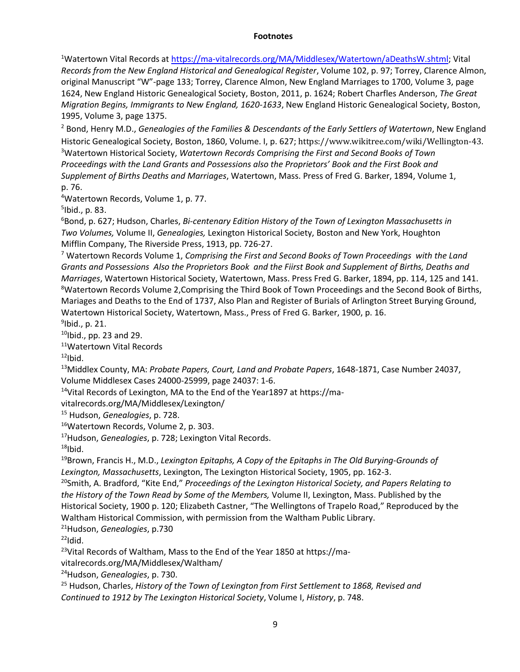## **Footnotes**

<sup>1</sup>Watertown Vital Records a[t https://ma-vitalrecords.org/MA/Middlesex/Watertown/aDeathsW.shtml;](https://ma-vitalrecords.org/MA/Middlesex/Watertown/aDeathsW.shtml) Vital *Records from the New England Historical and Genealogical Register*, Volume 102, p. 97; Torrey, Clarence Almon, original Manuscript "W"-page 133; Torrey, Clarence Almon, New England Marriages to 1700, Volume 3, page 1624, New England Historic Genealogical Society, Boston, 2011, p. 1624; Robert Charfles Anderson, *The Great Migration Begins, Immigrants to New England, 1620-1633*, New England Historic Genealogical Society, Boston, 1995, Volume 3, page 1375.

<sup>2</sup> Bond, Henry M.D., *Genealogies of the Families & Descendants of the Early Settlers of Watertown*, New England Historic Genealogical Society, Boston, 1860, Volume. I, p. 627; https://www.wikitree.com/wiki/Wellington-43. <sup>3</sup>Watertown Historical Society, *Watertown Records Comprising the First and Second Books of Town Proceedings with the Land Grants and Possessions also the Proprietors' Book and the First Book and Supplement of Births Deaths and Marriages*, Watertown, Mass. Press of Fred G. Barker, 1894, Volume 1, p. 76.

<sup>4</sup>Watertown Records, Volume 1, p. 77.

5 Ibid., p. 83.

<sup>6</sup>Bond, p. 627; Hudson, Charles, *Bi-centenary Edition History of the Town of Lexington Massachusetts in Two Volumes,* Volume II, *Genealogies,* Lexington Historical Society, Boston and New York, Houghton Mifflin Company, The Riverside Press, 1913, pp. 726-27.

<sup>7</sup> Watertown Records Volume 1, *Comprising the First and Second Books of Town Proceedings with the Land Grants and Possessions Also the Proprietors Book and the Fiirst Book and Supplement of Births, Deaths and Marriages*, Watertown Historical Society, Watertown, Mass. Press Fred G. Barker, 1894, pp. 114, 125 and 141. <sup>8</sup>Watertown Records Volume 2, Comprising the Third Book of Town Proceedings and the Second Book of Births, Mariages and Deaths to the End of 1737, Also Plan and Register of Burials of Arlington Street Burying Ground, Watertown Historical Society, Watertown, Mass., Press of Fred G. Barker, 1900, p. 16.

<sup>9</sup>lbid., p. 21.

 $10$ Ibid., pp. 23 and 29.

<sup>11</sup>Watertown Vital Records

 $12$ Ibid.

<sup>13</sup>Middlex County, MA: *Probate Papers, Court, Land and Probate Papers*, 1648-1871, Case Number 24037, Volume Middlesex Cases 24000-25999, page 24037: 1-6.

14Vital Records of Lexington, MA to the End of the Year1897 at https://ma-

vitalrecords.org/MA/Middlesex/Lexington/

<sup>15</sup> Hudson, *Genealogies*, p. 728.

<sup>16</sup>Watertown Records, Volume 2, p. 303.

<sup>17</sup>Hudson, *Genealogies*, p. 728; Lexington Vital Records.

 $18$ Ibid.

<sup>19</sup>Brown, Francis H., M.D., *Lexington Epitaphs, A Copy of the Epitaphs in The Old Burying-Grounds of Lexington, Massachusetts*, Lexington, The Lexington Historical Society, 1905, pp. 162-3.

<sup>20</sup>Smith, A. Bradford, "Kite End," *Proceedings of the Lexington Historical Society, and Papers Relating to the History of the Town Read by Some of the Members,* Volume II, Lexington, Mass. Published by the Historical Society, 1900 p. 120; Elizabeth Castner, "The Wellingtons of Trapelo Road," Reproduced by the Waltham Historical Commission, with permission from the Waltham Public Library.

<sup>21</sup>Hudson, *Genealogies*, p.730

 $^{22}$ Idid.

<sup>23</sup>Vital Records of Waltham, Mass to the End of the Year 1850 at https://ma-

vitalrecords.org/MA/Middlesex/Waltham/

<sup>24</sup>Hudson, *Genealogies*, p. 730.

<sup>25</sup> Hudson, Charles, *History of the Town of Lexington from First Settlement to 1868, Revised and Continued to 1912 by The Lexington Historical Society*, Volume I, *History*, p. 748.